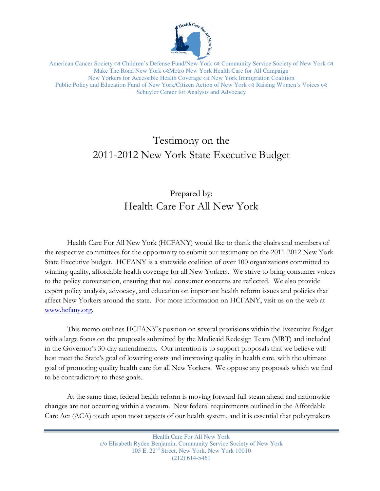

American Cancer Society & Children's Defense Fund/New York & Community Service Society of New York & Make The Road New York  $\infty$ Metro New York Health Care for All Campaign New Yorkers for Accessible Health Coverage  $\infty$  New York Immigration Coalition Public Policy and Education Fund of New York/Citizen Action of New York  $\alpha$  Raising Women's Voices  $\alpha$ Schuyler Center for Analysis and Advocacy

# Testimony on the 2011-2012 New York State Executive Budget

# Prepared by: Health Care For All New York

Health Care For All New York (HCFANY) would like to thank the chairs and members of the respective committees for the opportunity to submit our testimony on the 2011-2012 New York State Executive budget. HCFANY is a statewide coalition of over 100 organizations committed to winning quality, affordable health coverage for all New Yorkers. We strive to bring consumer voices to the policy conversation, ensuring that real consumer concerns are reflected. We also provide expert policy analysis, advocacy, and education on important health reform issues and policies that affect New Yorkers around the state. For more information on HCFANY, visit us on the web at www.hcfany.org.

This memo outlines HCFANY's position on several provisions within the Executive Budget with a large focus on the proposals submitted by the Medicaid Redesign Team (MRT) and included in the Governor's 30-day amendments. Our intention is to support proposals that we believe will best meet the State's goal of lowering costs and improving quality in health care, with the ultimate goal of promoting quality health care for all New Yorkers. We oppose any proposals which we find to be contradictory to these goals.

At the same time, federal health reform is moving forward full steam ahead and nationwide changes are not occurring within a vacuum. New federal requirements outlined in the Affordable Care Act (ACA) touch upon most aspects of our health system, and it is essential that policymakers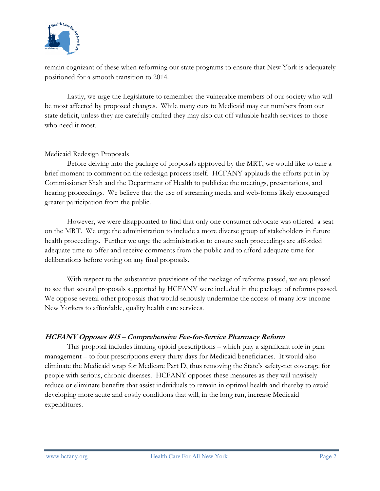

remain cognizant of these when reforming our state programs to ensure that New York is adequately positioned for a smooth transition to 2014.

 Lastly, we urge the Legislature to remember the vulnerable members of our society who will be most affected by proposed changes. While many cuts to Medicaid may cut numbers from our state deficit, unless they are carefully crafted they may also cut off valuable health services to those who need it most.

#### Medicaid Redesign Proposals

 Before delving into the package of proposals approved by the MRT, we would like to take a brief moment to comment on the redesign process itself. HCFANY applauds the efforts put in by Commissioner Shah and the Department of Health to publicize the meetings, presentations, and hearing proceedings. We believe that the use of streaming media and web-forms likely encouraged greater participation from the public.

However, we were disappointed to find that only one consumer advocate was offered a seat on the MRT. We urge the administration to include a more diverse group of stakeholders in future health proceedings. Further we urge the administration to ensure such proceedings are afforded adequate time to offer and receive comments from the public and to afford adequate time for deliberations before voting on any final proposals.

 With respect to the substantive provisions of the package of reforms passed, we are pleased to see that several proposals supported by HCFANY were included in the package of reforms passed. We oppose several other proposals that would seriously undermine the access of many low-income New Yorkers to affordable, quality health care services.

#### HCFANY Opposes #15 – Comprehensive Fee-for-Service Pharmacy Reform

This proposal includes limiting opioid prescriptions – which play a significant role in pain management – to four prescriptions every thirty days for Medicaid beneficiaries. It would also eliminate the Medicaid wrap for Medicare Part D, thus removing the State's safety-net coverage for people with serious, chronic diseases. HCFANY opposes these measures as they will unwisely reduce or eliminate benefits that assist individuals to remain in optimal health and thereby to avoid developing more acute and costly conditions that will, in the long run, increase Medicaid expenditures.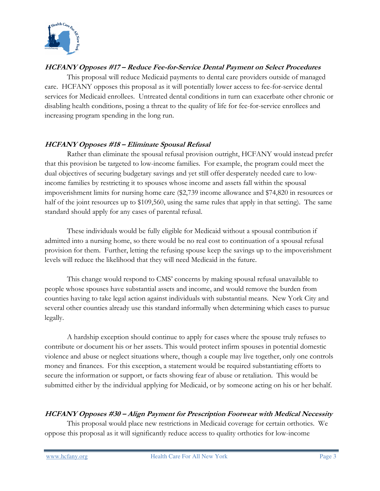

### HCFANY Opposes #17 – Reduce Fee-for-Service Dental Payment on Select Procedures

This proposal will reduce Medicaid payments to dental care providers outside of managed care. HCFANY opposes this proposal as it will potentially lower access to fee-for-service dental services for Medicaid enrollees. Untreated dental conditions in turn can exacerbate other chronic or disabling health conditions, posing a threat to the quality of life for fee-for-service enrollees and increasing program spending in the long run.

### HCFANY Opposes #18 – Eliminate Spousal Refusal

 Rather than eliminate the spousal refusal provision outright, HCFANY would instead prefer that this provision be targeted to low-income families. For example, the program could meet the dual objectives of securing budgetary savings and yet still offer desperately needed care to lowincome families by restricting it to spouses whose income and assets fall within the spousal impoverishment limits for nursing home care (\$2,739 income allowance and \$74,820 in resources or half of the joint resources up to \$109,560, using the same rules that apply in that setting). The same standard should apply for any cases of parental refusal.

 These individuals would be fully eligible for Medicaid without a spousal contribution if admitted into a nursing home, so there would be no real cost to continuation of a spousal refusal provision for them. Further, letting the refusing spouse keep the savings up to the impoverishment levels will reduce the likelihood that they will need Medicaid in the future.

This change would respond to CMS' concerns by making spousal refusal unavailable to people whose spouses have substantial assets and income, and would remove the burden from counties having to take legal action against individuals with substantial means. New York City and several other counties already use this standard informally when determining which cases to pursue legally.

A hardship exception should continue to apply for cases where the spouse truly refuses to contribute or document his or her assets. This would protect infirm spouses in potential domestic violence and abuse or neglect situations where, though a couple may live together, only one controls money and finances. For this exception, a statement would be required substantiating efforts to secure the information or support, or facts showing fear of abuse or retaliation. This would be submitted either by the individual applying for Medicaid, or by someone acting on his or her behalf.

### HCFANY Opposes #30 – Align Payment for Prescription Footwear with Medical Necessity

This proposal would place new restrictions in Medicaid coverage for certain orthotics. We oppose this proposal as it will significantly reduce access to quality orthotics for low-income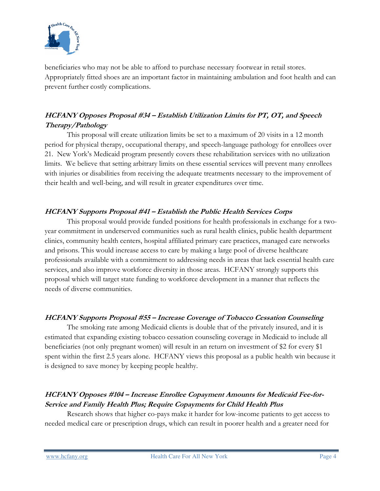

beneficiaries who may not be able to afford to purchase necessary footwear in retail stores. Appropriately fitted shoes are an important factor in maintaining ambulation and foot health and can prevent further costly complications.

# HCFANY Opposes Proposal #34 – Establish Utilization Limits for PT, OT, and Speech Therapy/Pathology

This proposal will create utilization limits be set to a maximum of 20 visits in a 12 month period for physical therapy, occupational therapy, and speech-language pathology for enrollees over 21. New York's Medicaid program presently covers these rehabilitation services with no utilization limits. We believe that setting arbitrary limits on these essential services will prevent many enrollees with injuries or disabilities from receiving the adequate treatments necessary to the improvement of their health and well-being, and will result in greater expenditures over time.

### HCFANY Supports Proposal #41 – Establish the Public Health Services Corps

This proposal would provide funded positions for health professionals in exchange for a twoyear commitment in underserved communities such as rural health clinics, public health department clinics, community health centers, hospital affiliated primary care practices, managed care networks and prisons. This would increase access to care by making a large pool of diverse healthcare professionals available with a commitment to addressing needs in areas that lack essential health care services, and also improve workforce diversity in those areas. HCFANY strongly supports this proposal which will target state funding to workforce development in a manner that reflects the needs of diverse communities.

### HCFANY Supports Proposal #55 – Increase Coverage of Tobacco Cessation Counseling

The smoking rate among Medicaid clients is double that of the privately insured, and it is estimated that expanding existing tobacco cessation counseling coverage in Medicaid to include all beneficiaries (not only pregnant women) will result in an return on investment of \$2 for every \$1 spent within the first 2.5 years alone. HCFANY views this proposal as a public health win because it is designed to save money by keeping people healthy.

## HCFANY Opposes #104 – Increase Enrollee Copayment Amounts for Medicaid Fee-for-Service and Family Health Plus; Require Copayments for Child Health Plus

Research shows that higher co-pays make it harder for low-income patients to get access to needed medical care or prescription drugs, which can result in poorer health and a greater need for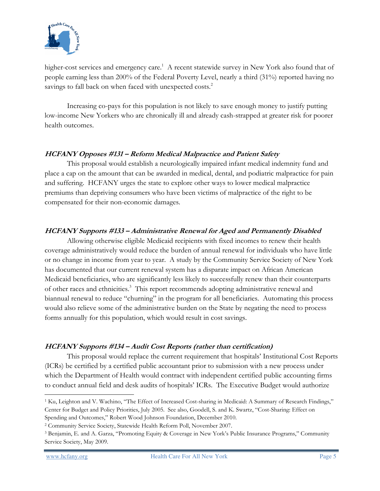

higher-cost services and emergency care.<sup>1</sup> A recent statewide survey in New York also found that of people earning less than 200% of the Federal Poverty Level, nearly a third (31%) reported having no savings to fall back on when faced with unexpected costs.<sup>2</sup>

 Increasing co-pays for this population is not likely to save enough money to justify putting low-income New Yorkers who are chronically ill and already cash-strapped at greater risk for poorer health outcomes.

#### HCFANY Opposes #131 – Reform Medical Malpractice and Patient Safety

This proposal would establish a neurologically impaired infant medical indemnity fund and place a cap on the amount that can be awarded in medical, dental, and podiatric malpractice for pain and suffering. HCFANY urges the state to explore other ways to lower medical malpractice premiums than depriving consumers who have been victims of malpractice of the right to be compensated for their non-economic damages.

### HCFANY Supports #133 – Administrative Renewal for Aged and Permanently Disabled

 Allowing otherwise eligible Medicaid recipients with fixed incomes to renew their health coverage administratively would reduce the burden of annual renewal for individuals who have little or no change in income from year to year. A study by the Community Service Society of New York has documented that our current renewal system has a disparate impact on African American Medicaid beneficiaries, who are significantly less likely to successfully renew than their counterparts of other races and ethnicities.<sup>3</sup> This report recommends adopting administrative renewal and biannual renewal to reduce "churning" in the program for all beneficiaries. Automating this process would also relieve some of the administrative burden on the State by negating the need to process forms annually for this population, which would result in cost savings.

### HCFANY Supports #134 – Audit Cost Reports (rather than certification)

This proposal would replace the current requirement that hospitals' Institutional Cost Reports (ICRs) be certified by a certified public accountant prior to submission with a new process under which the Department of Health would contract with independent certified public accounting firms to conduct annual field and desk audits of hospitals' ICRs. The Executive Budget would authorize

 $\overline{a}$ 

<sup>&</sup>lt;sup>1</sup> Ku, Leighton and V. Wachino, "The Effect of Increased Cost-sharing in Medicaid: A Summary of Research Findings," Center for Budget and Policy Priorities, July 2005. See also, Goodell, S. and K. Swartz, "Cost-Sharing: Effect on Spending and Outcomes," Robert Wood Johnson Foundation, December 2010.

<sup>2</sup> Community Service Society, Statewide Health Reform Poll, November 2007.

<sup>3</sup> Benjamin, E. and A. Garza, "Promoting Equity & Coverage in New York's Public Insurance Programs," Community Service Society, May 2009.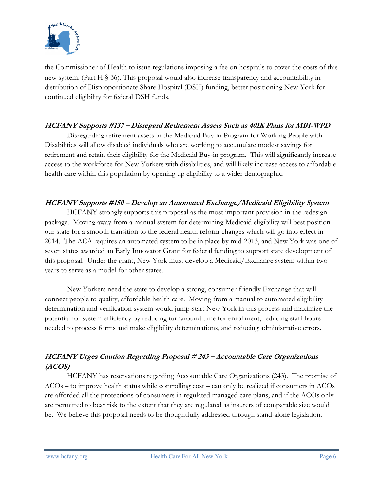

the Commissioner of Health to issue regulations imposing a fee on hospitals to cover the costs of this new system. (Part H § 36). This proposal would also increase transparency and accountability in distribution of Disproportionate Share Hospital (DSH) funding, better positioning New York for continued eligibility for federal DSH funds.

#### HCFANY Supports #137 – Disregard Retirement Assets Such as 401K Plans for MBI-WPD

 Disregarding retirement assets in the Medicaid Buy-in Program for Working People with Disabilities will allow disabled individuals who are working to accumulate modest savings for retirement and retain their eligibility for the Medicaid Buy-in program. This will significantly increase access to the workforce for New Yorkers with disabilities, and will likely increase access to affordable health care within this population by opening up eligibility to a wider demographic.

### HCFANY Supports #150 – Develop an Automated Exchange/Medicaid Eligibility System

HCFANY strongly supports this proposal as the most important provision in the redesign package. Moving away from a manual system for determining Medicaid eligibility will best position our state for a smooth transition to the federal health reform changes which will go into effect in 2014. The ACA requires an automated system to be in place by mid-2013, and New York was one of seven states awarded an Early Innovator Grant for federal funding to support state development of this proposal. Under the grant, New York must develop a Medicaid/Exchange system within two years to serve as a model for other states.

New Yorkers need the state to develop a strong, consumer-friendly Exchange that will connect people to quality, affordable health care. Moving from a manual to automated eligibility determination and verification system would jump-start New York in this process and maximize the potential for system efficiency by reducing turnaround time for enrollment, reducing staff hours needed to process forms and make eligibility determinations, and reducing administrative errors.

# HCFANY Urges Caution Regarding Proposal # 243 – Accountable Care Organizations (ACOS)

 HCFANY has reservations regarding Accountable Care Organizations (243). The promise of ACOs – to improve health status while controlling cost – can only be realized if consumers in ACOs are afforded all the protections of consumers in regulated managed care plans, and if the ACOs only are permitted to bear risk to the extent that they are regulated as insurers of comparable size would be. We believe this proposal needs to be thoughtfully addressed through stand-alone legislation.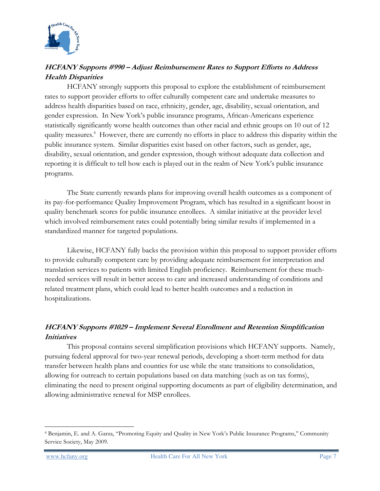

## HCFANY Supports #990 – Adjust Reimbursement Rates to Support Efforts to Address Health Disparities

 HCFANY strongly supports this proposal to explore the establishment of reimbursement rates to support provider efforts to offer culturally competent care and undertake measures to address health disparities based on race, ethnicity, gender, age, disability, sexual orientation, and gender expression. In New York's public insurance programs, African-Americans experience statistically significantly worse health outcomes than other racial and ethnic groups on 10 out of 12 quality measures.<sup>4</sup> However, there are currently no efforts in place to address this disparity within the public insurance system. Similar disparities exist based on other factors, such as gender, age, disability, sexual orientation, and gender expression, though without adequate data collection and reporting it is difficult to tell how each is played out in the realm of New York's public insurance programs.

The State currently rewards plans for improving overall health outcomes as a component of its pay-for-performance Quality Improvement Program, which has resulted in a significant boost in quality benchmark scores for public insurance enrollees. A similar initiative at the provider level which involved reimbursement rates could potentially bring similar results if implemented in a standardized manner for targeted populations.

Likewise, HCFANY fully backs the provision within this proposal to support provider efforts to provide culturally competent care by providing adequate reimbursement for interpretation and translation services to patients with limited English proficiency. Reimbursement for these muchneeded services will result in better access to care and increased understanding of conditions and related treatment plans, which could lead to better health outcomes and a reduction in hospitalizations.

## HCFANY Supports #1029 – Implement Several Enrollment and Retention Simplification **Initiatives**

This proposal contains several simplification provisions which HCFANY supports. Namely, pursuing federal approval for two-year renewal periods, developing a short-term method for data transfer between health plans and counties for use while the state transitions to consolidation, allowing for outreach to certain populations based on data matching (such as on tax forms), eliminating the need to present original supporting documents as part of eligibility determination, and allowing administrative renewal for MSP enrollees.

 $\overline{a}$ 4 Benjamin, E. and A. Garza, "Promoting Equity and Quality in New York's Public Insurance Programs," Community Service Society, May 2009.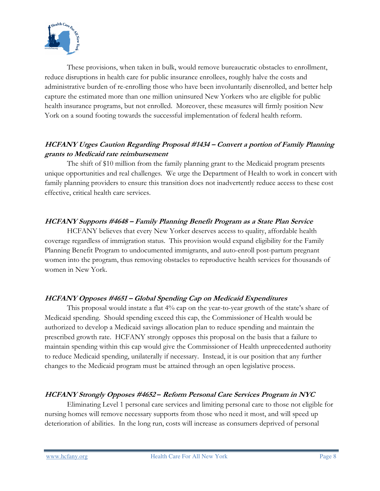

These provisions, when taken in bulk, would remove bureaucratic obstacles to enrollment, reduce disruptions in health care for public insurance enrollees, roughly halve the costs and administrative burden of re-enrolling those who have been involuntarily disenrolled, and better help capture the estimated more than one million uninsured New Yorkers who are eligible for public health insurance programs, but not enrolled. Moreover, these measures will firmly position New York on a sound footing towards the successful implementation of federal health reform.

### HCFANY Urges Caution Regarding Proposal #1434 – Convert a portion of Family Planning grants to Medicaid rate reimbursement

The shift of \$10 million from the family planning grant to the Medicaid program presents unique opportunities and real challenges. We urge the Department of Health to work in concert with family planning providers to ensure this transition does not inadvertently reduce access to these cost effective, critical health care services.

### HCFANY Supports #4648 – Family Planning Benefit Program as a State Plan Service

HCFANY believes that every New Yorker deserves access to quality, affordable health coverage regardless of immigration status. This provision would expand eligibility for the Family Planning Benefit Program to undocumented immigrants, and auto-enroll post-partum pregnant women into the program, thus removing obstacles to reproductive health services for thousands of women in New York.

### HCFANY Opposes #4651 – Global Spending Cap on Medicaid Expenditures

This proposal would instate a flat 4% cap on the year-to-year growth of the state's share of Medicaid spending. Should spending exceed this cap, the Commissioner of Health would be authorized to develop a Medicaid savings allocation plan to reduce spending and maintain the prescribed growth rate. HCFANY strongly opposes this proposal on the basis that a failure to maintain spending within this cap would give the Commissioner of Health unprecedented authority to reduce Medicaid spending, unilaterally if necessary. Instead, it is our position that any further changes to the Medicaid program must be attained through an open legislative process.

### HCFANY Strongly Opposes #4652 – Reform Personal Care Services Program in NYC

 Eliminating Level 1 personal care services and limiting personal care to those not eligible for nursing homes will remove necessary supports from those who need it most, and will speed up deterioration of abilities. In the long run, costs will increase as consumers deprived of personal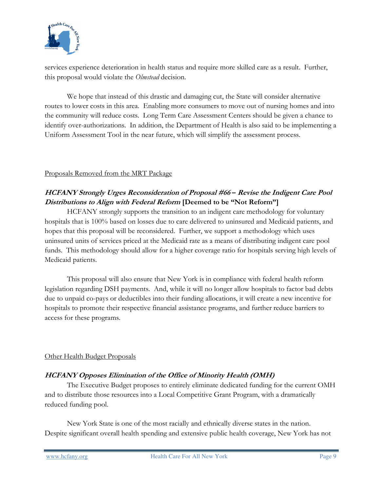

services experience deterioration in health status and require more skilled care as a result. Further, this proposal would violate the *Olmstead* decision.

 We hope that instead of this drastic and damaging cut, the State will consider alternative routes to lower costs in this area. Enabling more consumers to move out of nursing homes and into the community will reduce costs. Long Term Care Assessment Centers should be given a chance to identify over-authorizations. In addition, the Department of Health is also said to be implementing a Uniform Assessment Tool in the near future, which will simplify the assessment process.

#### Proposals Removed from the MRT Package

# HCFANY Strongly Urges Reconsideration of Proposal #66 – Revise the Indigent Care Pool Distributions to Align with Federal Reform [Deemed to be "Not Reform"]

HCFANY strongly supports the transition to an indigent care methodology for voluntary hospitals that is 100% based on losses due to care delivered to uninsured and Medicaid patients, and hopes that this proposal will be reconsidered. Further, we support a methodology which uses uninsured units of services priced at the Medicaid rate as a means of distributing indigent care pool funds. This methodology should allow for a higher coverage ratio for hospitals serving high levels of Medicaid patients.

This proposal will also ensure that New York is in compliance with federal health reform legislation regarding DSH payments. And, while it will no longer allow hospitals to factor bad debts due to unpaid co-pays or deductibles into their funding allocations, it will create a new incentive for hospitals to promote their respective financial assistance programs, and further reduce barriers to access for these programs.

### Other Health Budget Proposals

### HCFANY Opposes Elimination of the Office of Minority Health (OMH)

The Executive Budget proposes to entirely eliminate dedicated funding for the current OMH and to distribute those resources into a Local Competitive Grant Program, with a dramatically reduced funding pool.

 New York State is one of the most racially and ethnically diverse states in the nation. Despite significant overall health spending and extensive public health coverage, New York has not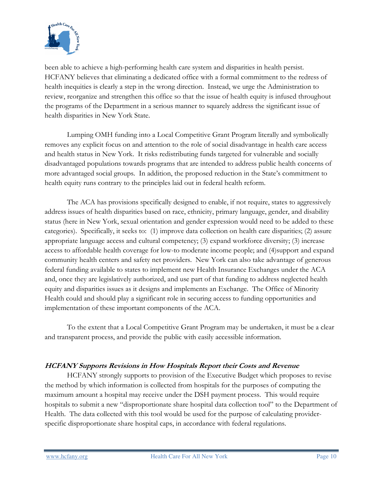

been able to achieve a high-performing health care system and disparities in health persist. HCFANY believes that eliminating a dedicated office with a formal commitment to the redress of health inequities is clearly a step in the wrong direction. Instead, we urge the Administration to review, reorganize and strengthen this office so that the issue of health equity is infused throughout the programs of the Department in a serious manner to squarely address the significant issue of health disparities in New York State.

 Lumping OMH funding into a Local Competitive Grant Program literally and symbolically removes any explicit focus on and attention to the role of social disadvantage in health care access and health status in New York. It risks redistributing funds targeted for vulnerable and socially disadvantaged populations towards programs that are intended to address public health concerns of more advantaged social groups. In addition, the proposed reduction in the State's commitment to health equity runs contrary to the principles laid out in federal health reform.

The ACA has provisions specifically designed to enable, if not require, states to aggressively address issues of health disparities based on race, ethnicity, primary language, gender, and disability status (here in New York, sexual orientation and gender expression would need to be added to these categories). Specifically, it seeks to: (1) improve data collection on health care disparities; (2) assure appropriate language access and cultural competency; (3) expand workforce diversity; (3) increase access to affordable health coverage for low-to moderate income people; and (4)support and expand community health centers and safety net providers. New York can also take advantage of generous federal funding available to states to implement new Health Insurance Exchanges under the ACA and, once they are legislatively authorized, and use part of that funding to address neglected health equity and disparities issues as it designs and implements an Exchange. The Office of Minority Health could and should play a significant role in securing access to funding opportunities and implementation of these important components of the ACA.

 To the extent that a Local Competitive Grant Program may be undertaken, it must be a clear and transparent process, and provide the public with easily accessible information.

### HCFANY Supports Revisions in How Hospitals Report their Costs and Revenue

 HCFANY strongly supports to provision of the Executive Budget which proposes to revise the method by which information is collected from hospitals for the purposes of computing the maximum amount a hospital may receive under the DSH payment process. This would require hospitals to submit a new "disproportionate share hospital data collection tool" to the Department of Health. The data collected with this tool would be used for the purpose of calculating providerspecific disproportionate share hospital caps, in accordance with federal regulations.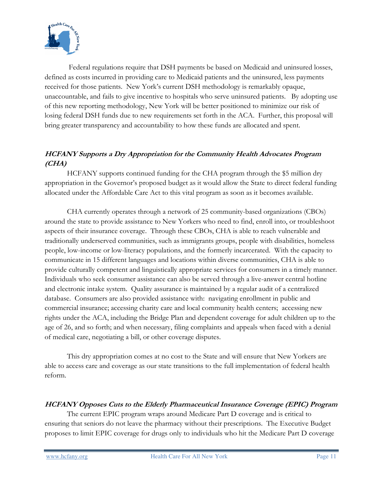

 Federal regulations require that DSH payments be based on Medicaid and uninsured losses, defined as costs incurred in providing care to Medicaid patients and the uninsured, less payments received for those patients. New York's current DSH methodology is remarkably opaque, unaccountable, and fails to give incentive to hospitals who serve uninsured patients. By adopting use of this new reporting methodology, New York will be better positioned to minimize our risk of losing federal DSH funds due to new requirements set forth in the ACA. Further, this proposal will bring greater transparency and accountability to how these funds are allocated and spent.

# HCFANY Supports a Dry Appropriation for the Community Health Advocates Program (CHA)

 HCFANY supports continued funding for the CHA program through the \$5 million dry appropriation in the Governor's proposed budget as it would allow the State to direct federal funding allocated under the Affordable Care Act to this vital program as soon as it becomes available.

CHA currently operates through a network of 25 community-based organizations (CBOs) around the state to provide assistance to New Yorkers who need to find, enroll into, or troubleshoot aspects of their insurance coverage. Through these CBOs, CHA is able to reach vulnerable and traditionally underserved communities, such as immigrants groups, people with disabilities, homeless people, low-income or low-literacy populations, and the formerly incarcerated. With the capacity to communicate in 15 different languages and locations within diverse communities, CHA is able to provide culturally competent and linguistically appropriate services for consumers in a timely manner. Individuals who seek consumer assistance can also be served through a live-answer central hotline and electronic intake system. Quality assurance is maintained by a regular audit of a centralized database. Consumers are also provided assistance with: navigating enrollment in public and commercial insurance; accessing charity care and local community health centers; accessing new rights under the ACA, including the Bridge Plan and dependent coverage for adult children up to the age of 26, and so forth; and when necessary, filing complaints and appeals when faced with a denial of medical care, negotiating a bill, or other coverage disputes.

This dry appropriation comes at no cost to the State and will ensure that New Yorkers are able to access care and coverage as our state transitions to the full implementation of federal health reform.

### HCFANY Opposes Cuts to the Elderly Pharmaceutical Insurance Coverage (EPIC) Program

The current EPIC program wraps around Medicare Part D coverage and is critical to ensuring that seniors do not leave the pharmacy without their prescriptions. The Executive Budget proposes to limit EPIC coverage for drugs only to individuals who hit the Medicare Part D coverage